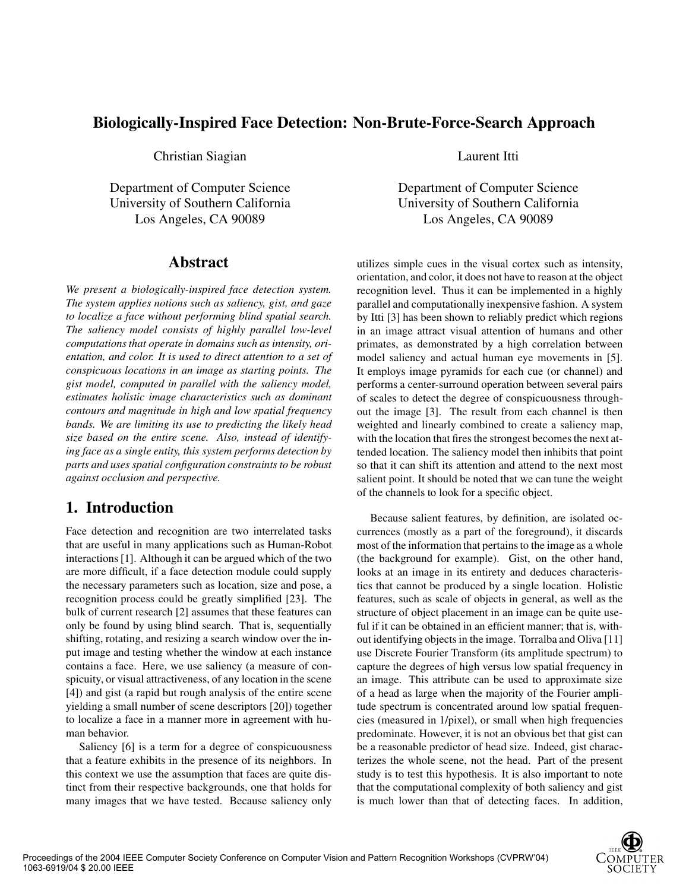## **Biologically-Inspired Face Detection: Non-Brute-Force-Search Approach**

Christian Siagian Laurent Itti

### **Abstract**

*We present a biologically-inspired face detection system. The system applies notions such as saliency, gist, and gaze to localize a face without performing blind spatial search. The saliency model consists of highly parallel low-level computations that operate in domains such as intensity, orientation, and color. It is used to direct attention to a set of conspicuous locations in an image as starting points. The gist model, computed in parallel with the saliency model, estimates holistic image characteristics such as dominant contours and magnitude in high and low spatial frequency bands. We are limiting its use to predicting the likely head size based on the entire scene. Also, instead of identifying face as a single entity, this system performs detection by parts and uses spatial configuration constraints to be robust against occlusion and perspective.*

# **1. Introduction**

Face detection and recognition are two interrelated tasks that are useful in many applications such as Human-Robot interactions [1]. Although it can be argued which of the two are more difficult, if a face detection module could supply the necessary parameters such as location, size and pose, a recognition process could be greatly simplified [23]. The bulk of current research [2] assumes that these features can only be found by using blind search. That is, sequentially shifting, rotating, and resizing a search window over the input image and testing whether the window at each instance contains a face. Here, we use saliency (a measure of conspicuity, or visual attractiveness, of any location in the scene [4]) and gist (a rapid but rough analysis of the entire scene yielding a small number of scene descriptors [20]) together to localize a face in a manner more in agreement with human behavior.

Saliency [6] is a term for a degree of conspicuousness that a feature exhibits in the presence of its neighbors. In this context we use the assumption that faces are quite distinct from their respective backgrounds, one that holds for many images that we have tested. Because saliency only

Department of Computer Science Department of Computer Science University of Southern California University of Southern California Los Angeles, CA 90089 Los Angeles, CA 90089

> utilizes simple cues in the visual cortex such as intensity, orientation, and color, it does not have to reason at the object recognition level. Thus it can be implemented in a highly parallel and computationally inexpensive fashion. A system by Itti [3] has been shown to reliably predict which regions in an image attract visual attention of humans and other primates, as demonstrated by a high correlation between model saliency and actual human eye movements in [5]. It employs image pyramids for each cue (or channel) and performs a center-surround operation between several pairs of scales to detect the degree of conspicuousness throughout the image [3]. The result from each channel is then weighted and linearly combined to create a saliency map, with the location that fires the strongest becomes the next attended location. The saliency model then inhibits that point so that it can shift its attention and attend to the next most salient point. It should be noted that we can tune the weight of the channels to look for a specific object.

> Because salient features, by definition, are isolated occurrences (mostly as a part of the foreground), it discards most of the information that pertains to the image as a whole (the background for example). Gist, on the other hand, looks at an image in its entirety and deduces characteristics that cannot be produced by a single location. Holistic features, such as scale of objects in general, as well as the structure of object placement in an image can be quite useful if it can be obtained in an efficient manner; that is, without identifying objects in the image. Torralba and Oliva [11] use Discrete Fourier Transform (its amplitude spectrum) to capture the degrees of high versus low spatial frequency in an image. This attribute can be used to approximate size of a head as large when the majority of the Fourier amplitude spectrum is concentrated around low spatial frequencies (measured in 1/pixel), or small when high frequencies predominate. However, it is not an obvious bet that gist can be a reasonable predictor of head size. Indeed, gist characterizes the whole scene, not the head. Part of the present study is to test this hypothesis. It is also important to note that the computational complexity of both saliency and gist is much lower than that of detecting faces. In addition,

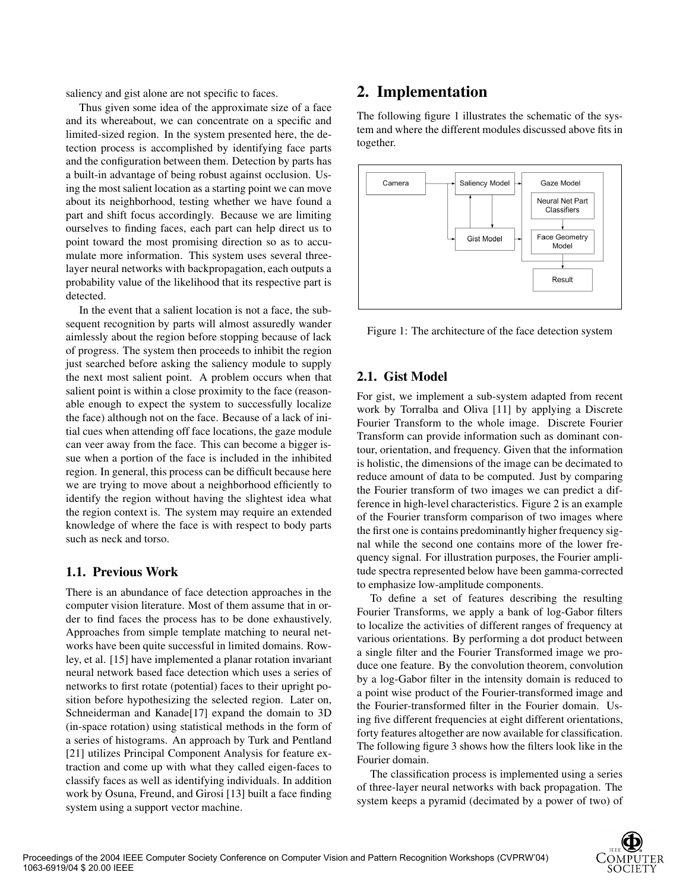saliency and gist alone are not specific to faces.

Thus given some idea of the approximate size of a face and its whereabout, we can concentrate on a specific and limited-sized region. In the system presented here, the detection process is accomplished by identifying face parts and the configuration between them. Detection by parts has a built-in advantage of being robust against occlusion. Using the most salient location as a starting point we can move about its neighborhood, testing whether we have found a part and shift focus accordingly. Because we are limiting ourselves to finding faces, each part can help direct us to point toward the most promising direction so as to accumulate more information. This system uses several threelayer neural networks with backpropagation, each outputs a probability value of the likelihood that its respective part is detected.

In the event that a salient location is not a face, the subsequent recognition by parts will almost assuredly wander aimlessly about the region before stopping because of lack of progress. The system then proceeds to inhibit the region just searched before asking the saliency module to supply the next most salient point. A problem occurs when that salient point is within a close proximity to the face (reasonable enough to expect the system to successfully localize the face) although not on the face. Because of a lack of initial cues when attending off face locations, the gaze module can veer away from the face. This can become a bigger issue when a portion of the face is included in the inhibited region. In general, this process can be difficult because here we are trying to move about a neighborhood efficiently to identify the region without having the slightest idea what the region context is. The system may require an extended knowledge of where the face is with respect to body parts such as neck and torso.

#### **1.1. Previous Work**

There is an abundance of face detection approaches in the computer vision literature. Most of them assume that in order to find faces the process has to be done exhaustively. Approaches from simple template matching to neural networks have been quite successful in limited domains. Rowley, et al. [15] have implemented a planar rotation invariant neural network based face detection which uses a series of networks to first rotate (potential) faces to their upright position before hypothesizing the selected region. Later on, Schneiderman and Kanade<sup>[17]</sup> expand the domain to 3D (in-space rotation) using statistical methods in the form of a series of histograms. An approach by Turk and Pentland [21] utilizes Principal Component Analysis for feature extraction and come up with what they called eigen-faces to classify faces as well as identifying individuals. In addition work by Osuna, Freund, and Girosi [13] built a face finding system using a support vector machine.

### **2. Implementation**

The following figure 1 illustrates the schematic of the system and where the different modules discussed above fits in together.



Figure 1: The architecture of the face detection system

#### **2.1. Gist Model**

For gist, we implement a sub-system adapted from recent work by Torralba and Oliva [11] by applying a Discrete Fourier Transform to the whole image. Discrete Fourier Transform can provide information such as dominant contour, orientation, and frequency. Given that the information is holistic, the dimensions of the image can be decimated to reduce amount of data to be computed. Just by comparing the Fourier transform of two images we can predict a difference in high-level characteristics. Figure 2 is an example of the Fourier transform comparison of two images where the first one is contains predominantly higher frequency signal while the second one contains more of the lower frequency signal. For illustration purposes, the Fourier amplitude spectra represented below have been gamma-corrected to emphasize low-amplitude components.

To define a set of features describing the resulting Fourier Transforms, we apply a bank of log-Gabor filters to localize the activities of different ranges of frequency at various orientations. By performing a dot product between a single filter and the Fourier Transformed image we produce one feature. By the convolution theorem, convolution by a log-Gabor filter in the intensity domain is reduced to a point wise product of the Fourier-transformed image and the Fourier-transformed filter in the Fourier domain. Using five different frequencies at eight different orientations, forty features altogether are now available for classification. The following figure 3 shows how the filters look like in the Fourier domain.

The classification process is implemented using a series of three-layer neural networks with back propagation. The system keeps a pyramid (decimated by a power of two) of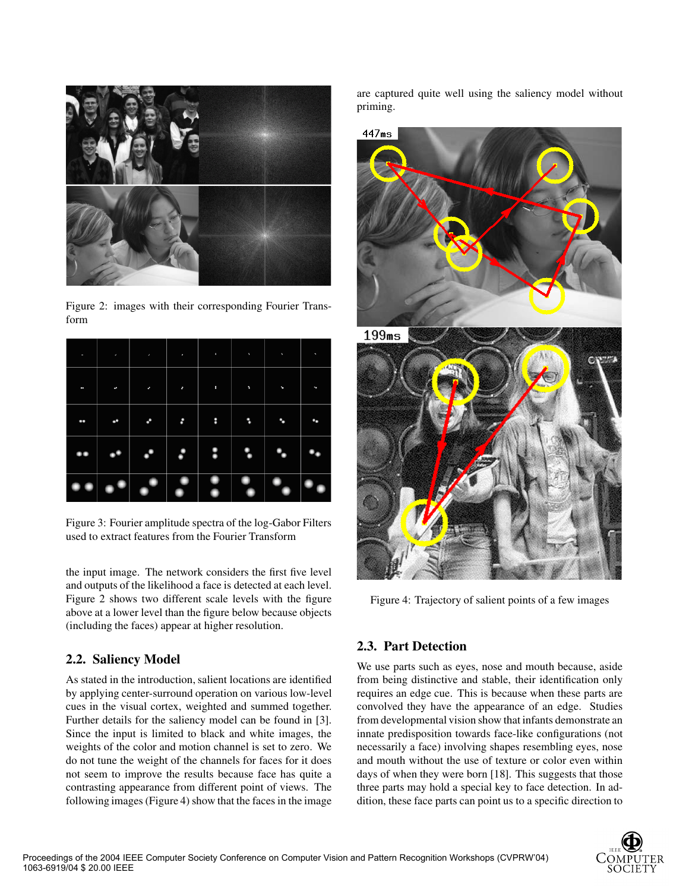

Figure 2: images with their corresponding Fourier Transform

|    |             |                                           | $\mathbf{v}$ |  |
|----|-------------|-------------------------------------------|--------------|--|
| ۰. |             | $\sim$ $\sim$ $\sim$ $\sim$ $\sim$ $\sim$ |              |  |
|    |             |                                           |              |  |
|    |             |                                           |              |  |
|    | <del></del> |                                           |              |  |

Figure 3: Fourier amplitude spectra of the log-Gabor Filters used to extract features from the Fourier Transform

the input image. The network considers the first five level and outputs of the likelihood a face is detected at each level. Figure 2 shows two different scale levels with the figure above at a lower level than the figure below because objects (including the faces) appear at higher resolution.

#### **2.2. Saliency Model**

As stated in the introduction, salient locations are identified by applying center-surround operation on various low-level cues in the visual cortex, weighted and summed together. Further details for the saliency model can be found in [3]. Since the input is limited to black and white images, the weights of the color and motion channel is set to zero. We do not tune the weight of the channels for faces for it does not seem to improve the results because face has quite a contrasting appearance from different point of views. The following images (Figure 4) show that the faces in the image are captured quite well using the saliency model without priming.



Figure 4: Trajectory of salient points of a few images

#### **2.3. Part Detection**

We use parts such as eyes, nose and mouth because, aside from being distinctive and stable, their identification only requires an edge cue. This is because when these parts are convolved they have the appearance of an edge. Studies from developmental vision show that infants demonstrate an innate predisposition towards face-like configurations (not necessarily a face) involving shapes resembling eyes, nose and mouth without the use of texture or color even within days of when they were born [18]. This suggests that those three parts may hold a special key to face detection. In addition, these face parts can point us to a specific direction to

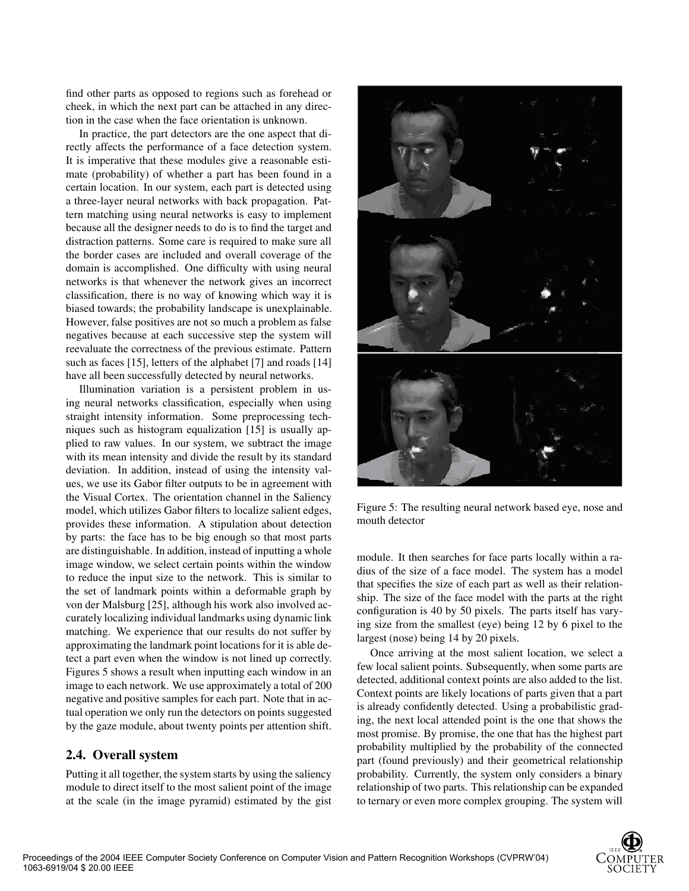find other parts as opposed to regions such as forehead or cheek, in which the next part can be attached in any direction in the case when the face orientation is unknown.

In practice, the part detectors are the one aspect that directly affects the performance of a face detection system. It is imperative that these modules give a reasonable estimate (probability) of whether a part has been found in a certain location. In our system, each part is detected using a three-layer neural networks with back propagation. Pattern matching using neural networks is easy to implement because all the designer needs to do is to find the target and distraction patterns. Some care is required to make sure all the border cases are included and overall coverage of the domain is accomplished. One difficulty with using neural networks is that whenever the network gives an incorrect classification, there is no way of knowing which way it is biased towards; the probability landscape is unexplainable. However, false positives are not so much a problem as false negatives because at each successive step the system will reevaluate the correctness of the previous estimate. Pattern such as faces [15], letters of the alphabet [7] and roads [14] have all been successfully detected by neural networks.

Illumination variation is a persistent problem in using neural networks classification, especially when using straight intensity information. Some preprocessing techniques such as histogram equalization [15] is usually applied to raw values. In our system, we subtract the image with its mean intensity and divide the result by its standard deviation. In addition, instead of using the intensity values, we use its Gabor filter outputs to be in agreement with the Visual Cortex. The orientation channel in the Saliency model, which utilizes Gabor filters to localize salient edges, provides these information. A stipulation about detection by parts: the face has to be big enough so that most parts are distinguishable. In addition, instead of inputting a whole image window, we select certain points within the window to reduce the input size to the network. This is similar to the set of landmark points within a deformable graph by von der Malsburg [25], although his work also involved accurately localizing individual landmarks using dynamic link matching. We experience that our results do not suffer by approximating the landmark point locations for it is able detect a part even when the window is not lined up correctly. Figures 5 shows a result when inputting each window in an image to each network. We use approximately a total of 200 negative and positive samples for each part. Note that in actual operation we only run the detectors on points suggested by the gaze module, about twenty points per attention shift.

### **2.4. Overall system**

Putting it all together, the system starts by using the saliency module to direct itself to the most salient point of the image at the scale (in the image pyramid) estimated by the gist



Figure 5: The resulting neural network based eye, nose and mouth detector

module. It then searches for face parts locally within a radius of the size of a face model. The system has a model that specifies the size of each part as well as their relationship. The size of the face model with the parts at the right configuration is 40 by 50 pixels. The parts itself has varying size from the smallest (eye) being 12 by 6 pixel to the largest (nose) being 14 by 20 pixels.

Once arriving at the most salient location, we select a few local salient points. Subsequently, when some parts are detected, additional context points are also added to the list. Context points are likely locations of parts given that a part is already confidently detected. Using a probabilistic grading, the next local attended point is the one that shows the most promise. By promise, the one that has the highest part probability multiplied by the probability of the connected part (found previously) and their geometrical relationship probability. Currently, the system only considers a binary relationship of two parts. This relationship can be expanded to ternary or even more complex grouping. The system will

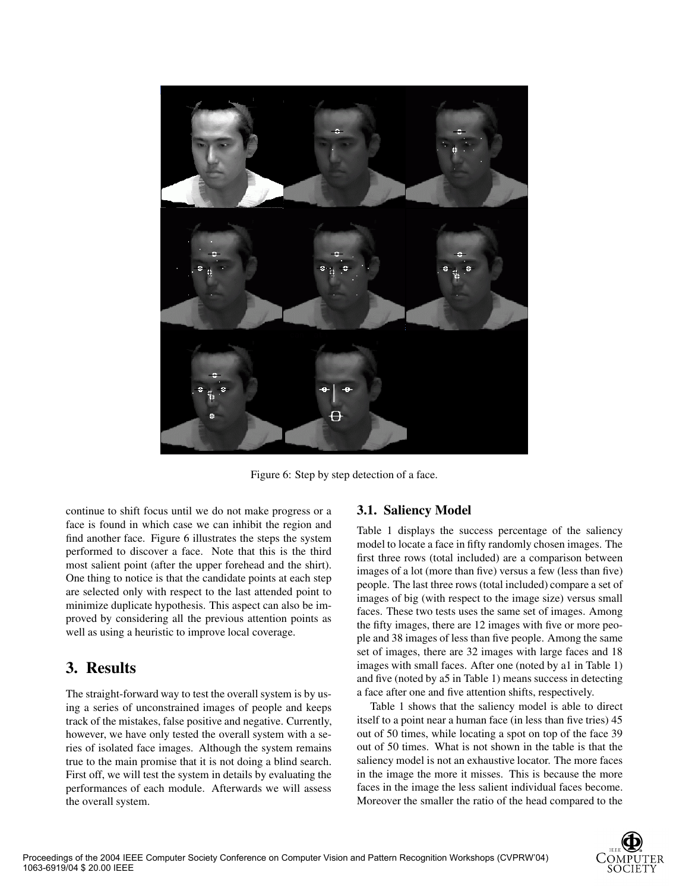

Figure 6: Step by step detection of a face.

continue to shift focus until we do not make progress or a face is found in which case we can inhibit the region and find another face. Figure 6 illustrates the steps the system performed to discover a face. Note that this is the third most salient point (after the upper forehead and the shirt). One thing to notice is that the candidate points at each step are selected only with respect to the last attended point to minimize duplicate hypothesis. This aspect can also be improved by considering all the previous attention points as well as using a heuristic to improve local coverage.

### **3. Results**

The straight-forward way to test the overall system is by using a series of unconstrained images of people and keeps track of the mistakes, false positive and negative. Currently, however, we have only tested the overall system with a series of isolated face images. Although the system remains true to the main promise that it is not doing a blind search. First off, we will test the system in details by evaluating the performances of each module. Afterwards we will assess the overall system.

#### **3.1. Saliency Model**

Table 1 displays the success percentage of the saliency model to locate a face in fifty randomly chosen images. The first three rows (total included) are a comparison between images of a lot (more than five) versus a few (less than five) people. The last three rows (total included) compare a set of images of big (with respect to the image size) versus small faces. These two tests uses the same set of images. Among the fifty images, there are 12 images with five or more people and 38 images of less than five people. Among the same set of images, there are 32 images with large faces and 18 images with small faces. After one (noted by a1 in Table 1) and five (noted by a5 in Table 1) means success in detecting a face after one and five attention shifts, respectively.

Table 1 shows that the saliency model is able to direct itself to a point near a human face (in less than five tries) 45 out of 50 times, while locating a spot on top of the face 39 out of 50 times. What is not shown in the table is that the saliency model is not an exhaustive locator. The more faces in the image the more it misses. This is because the more faces in the image the less salient individual faces become. Moreover the smaller the ratio of the head compared to the

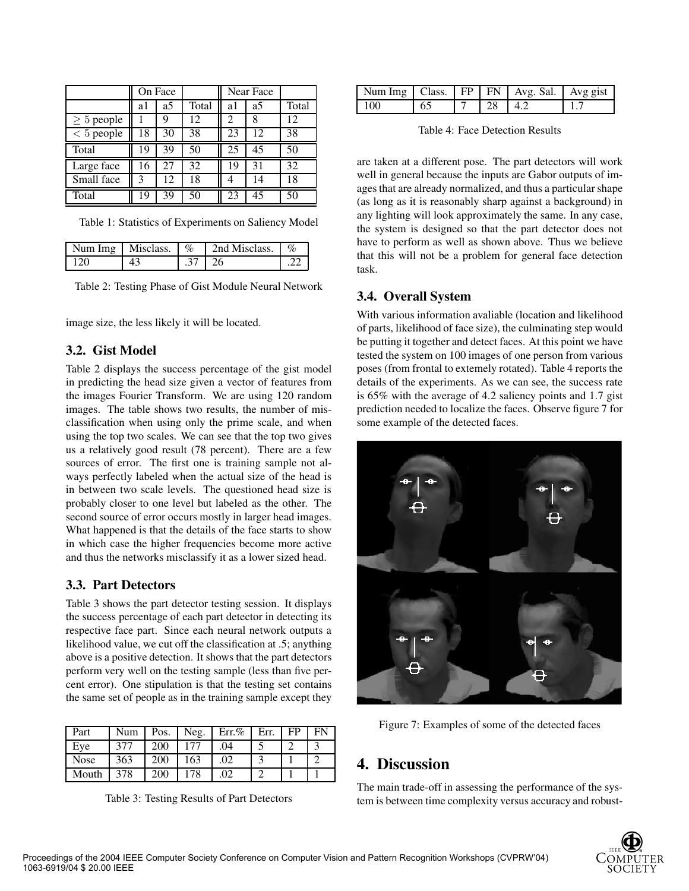|                 | On Face |    |       | Near Face |    |       |
|-----------------|---------|----|-------|-----------|----|-------|
|                 | a1      | a5 | Total | a1        | a5 | Total |
| $\geq 5$ people |         | 9  | 12    | 2         | 8  | 12    |
| $< 5$ people    | 18      | 30 | 38    | 23        | 12 | 38    |
| Total           | 19      | 39 | 50    | 25        | 45 | 50    |
| Large face      | 16      | 27 | 32    | 19        | 31 | 32    |
| Small face      | 3       | 12 | 18    |           | 14 | 18    |
| Total           | 19      | 39 | 50    | 23        | 45 |       |

Table 1: Statistics of Experiments on Saliency Model

| Num Img   Misclass. | $\%$ | 2nd Misclass. | % |
|---------------------|------|---------------|---|
| ാറ                  | .    |               |   |

Table 2: Testing Phase of Gist Module Neural Network

image size, the less likely it will be located.

### **3.2. Gist Model**

Table 2 displays the success percentage of the gist model in predicting the head size given a vector of features from the images Fourier Transform. We are using 120 random images. The table shows two results, the number of misclassification when using only the prime scale, and when using the top two scales. We can see that the top two gives us a relatively good result (78 percent). There are a few sources of error. The first one is training sample not always perfectly labeled when the actual size of the head is in between two scale levels. The questioned head size is probably closer to one level but labeled as the other. The second source of error occurs mostly in larger head images. What happened is that the details of the face starts to show in which case the higher frequencies become more active and thus the networks misclassify it as a lower sized head.

### **3.3. Part Detectors**

Table 3 shows the part detector testing session. It displays the success percentage of each part detector in detecting its respective face part. Since each neural network outputs a likelihood value, we cut off the classification at .5; anything above is a positive detection. It shows that the part detectors perform very well on the testing sample (less than five percent error). One stipulation is that the testing set contains the same set of people as in the training sample except they

| Part        | Num | Pos. | Neg. | $Err. \%$ | Err. | FP | FN |
|-------------|-----|------|------|-----------|------|----|----|
| Eye         | 377 | 200  | 177  | .04       |      |    |    |
| <b>Nose</b> | 363 | 200  | 163  | .02       |      |    |    |
| Mouth       | 378 | 200  | 178  | .02       |      |    |    |

Table 3: Testing Results of Part Detectors

|     |  | Num Img   Class.   FP   FN   Avg. Sal.   Avg gist |  |
|-----|--|---------------------------------------------------|--|
| 100 |  |                                                   |  |

Table 4: Face Detection Results

are taken at a different pose. The part detectors will work well in general because the inputs are Gabor outputs of images that are already normalized, and thus a particular shape (as long as it is reasonably sharp against a background) in any lighting will look approximately the same. In any case, the system is designed so that the part detector does not have to perform as well as shown above. Thus we believe that this will not be a problem for general face detection task.

### **3.4. Overall System**

With various information avaliable (location and likelihood of parts, likelihood of face size), the culminating step would be putting it together and detect faces. At this point we have tested the system on 100 images of one person from various poses (from frontal to extemely rotated). Table 4 reports the details of the experiments. As we can see, the success rate is 65% with the average of 4.2 saliency points and 1.7 gist prediction needed to localize the faces. Observe figure 7 for some example of the detected faces.



Figure 7: Examples of some of the detected faces

## **4. Discussion**

The main trade-off in assessing the performance of the system is between time complexity versus accuracy and robust-

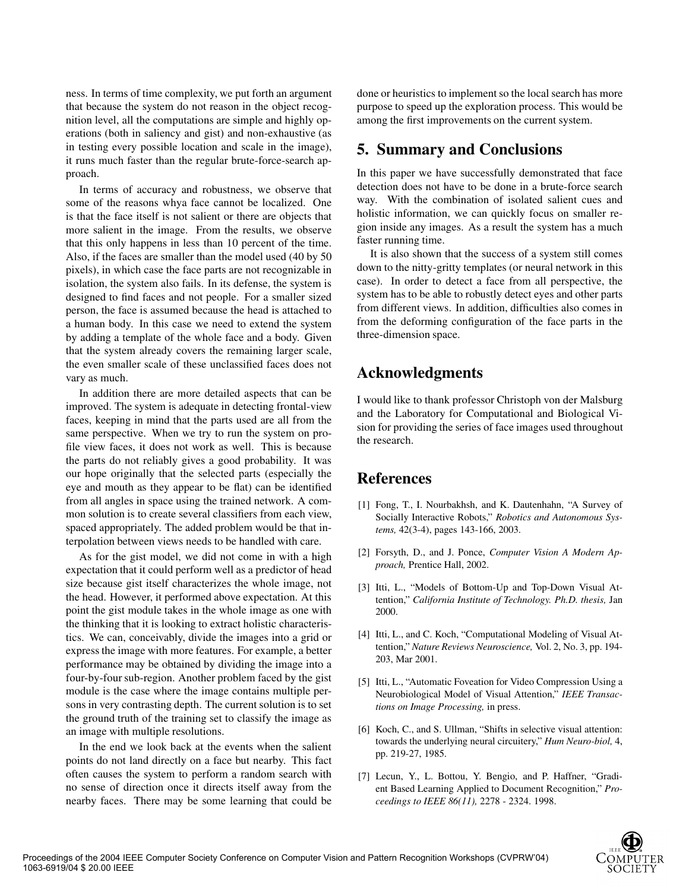ness. In terms of time complexity, we put forth an argument that because the system do not reason in the object recognition level, all the computations are simple and highly operations (both in saliency and gist) and non-exhaustive (as in testing every possible location and scale in the image), it runs much faster than the regular brute-force-search approach.

In terms of accuracy and robustness, we observe that some of the reasons whya face cannot be localized. One is that the face itself is not salient or there are objects that more salient in the image. From the results, we observe that this only happens in less than 10 percent of the time. Also, if the faces are smaller than the model used (40 by 50 pixels), in which case the face parts are not recognizable in isolation, the system also fails. In its defense, the system is designed to find faces and not people. For a smaller sized person, the face is assumed because the head is attached to a human body. In this case we need to extend the system by adding a template of the whole face and a body. Given that the system already covers the remaining larger scale, the even smaller scale of these unclassified faces does not vary as much.

In addition there are more detailed aspects that can be improved. The system is adequate in detecting frontal-view faces, keeping in mind that the parts used are all from the same perspective. When we try to run the system on profile view faces, it does not work as well. This is because the parts do not reliably gives a good probability. It was our hope originally that the selected parts (especially the eye and mouth as they appear to be flat) can be identified from all angles in space using the trained network. A common solution is to create several classifiers from each view, spaced appropriately. The added problem would be that interpolation between views needs to be handled with care.

As for the gist model, we did not come in with a high expectation that it could perform well as a predictor of head size because gist itself characterizes the whole image, not the head. However, it performed above expectation. At this point the gist module takes in the whole image as one with the thinking that it is looking to extract holistic characteristics. We can, conceivably, divide the images into a grid or express the image with more features. For example, a better performance may be obtained by dividing the image into a four-by-four sub-region. Another problem faced by the gist module is the case where the image contains multiple persons in very contrasting depth. The current solution is to set the ground truth of the training set to classify the image as an image with multiple resolutions.

In the end we look back at the events when the salient points do not land directly on a face but nearby. This fact often causes the system to perform a random search with no sense of direction once it directs itself away from the nearby faces. There may be some learning that could be done or heuristics to implement so the local search has more purpose to speed up the exploration process. This would be among the first improvements on the current system.

### **5. Summary and Conclusions**

In this paper we have successfully demonstrated that face detection does not have to be done in a brute-force search way. With the combination of isolated salient cues and holistic information, we can quickly focus on smaller region inside any images. As a result the system has a much faster running time.

It is also shown that the success of a system still comes down to the nitty-gritty templates (or neural network in this case). In order to detect a face from all perspective, the system has to be able to robustly detect eyes and other parts from different views. In addition, difficulties also comes in from the deforming configuration of the face parts in the three-dimension space.

# **Acknowledgments**

I would like to thank professor Christoph von der Malsburg and the Laboratory for Computational and Biological Vision for providing the series of face images used throughout the research.

# **References**

- [1] Fong, T., I. Nourbakhsh, and K. Dautenhahn, "A Survey of Socially Interactive Robots," *Robotics and Autonomous Systems,* 42(3-4), pages 143-166, 2003.
- [2] Forsyth, D., and J. Ponce, *Computer Vision A Modern Approach,* Prentice Hall, 2002.
- [3] Itti, L., "Models of Bottom-Up and Top-Down Visual Attention," *California Institute of Technology. Ph.D. thesis,* Jan 2000.
- [4] Itti, L., and C. Koch, "Computational Modeling of Visual Attention," *Nature Reviews Neuroscience,* Vol. 2, No. 3, pp. 194- 203, Mar 2001.
- [5] Itti, L., "Automatic Foveation for Video Compression Using a Neurobiological Model of Visual Attention," *IEEE Transactions on Image Processing,* in press.
- [6] Koch, C., and S. Ullman, "Shifts in selective visual attention: towards the underlying neural circuitery," *Hum Neuro-biol,* 4, pp. 219-27, 1985.
- [7] Lecun, Y., L. Bottou, Y. Bengio, and P. Haffner, "Gradient Based Learning Applied to Document Recognition," *Proceedings to IEEE 86(11),* 2278 - 2324. 1998.